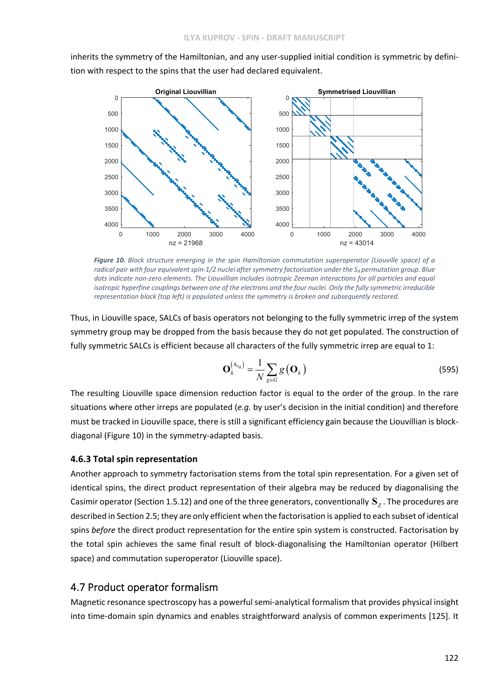inherits the symmetry of the Hamiltonian, and any user-supplied initial condition is symmetric by definition with respect to the spins that the user had declared equivalent.



*Figure 10. Block structure emerging in the spin Hamiltonian commutation superoperator (Liouville space) of a* radical pair with four equivalent spin-1/2 nuclei after symmetry factorisation under the  $S_4$  permutation group. Blue dots indicate non-zero elements. The Liouvillian includes isotropic Zeeman interactions for all particles and equal isotropic hyperfine couplings between one of the electrons and the four nuclei. Only the fully symmetric irreducible *representation block (top left) is populated unless the symmetry is broken and subsequently restored.*

Thus, in Liouville space, SALCs of basis operators not belonging to the fully symmetric irrep of the system symmetry group may be dropped from the basis because they do not get populated. The construction of fully symmetric SALCs is efficient because all characters of the fully symmetric irrep are equal to 1:

$$
\mathbf{O}_{k}^{(\mathbf{A}_{1g})} = \frac{1}{N} \sum_{g \in G} g\left(\mathbf{O}_{k}\right)
$$
\n(595)

The resulting Liouville space dimension reduction factor is equal to the order of the group. In the rare situations where other irreps are populated (*e.g.* by user's decision in the initial condition) and therefore must be tracked in Liouville space, there is still a significant efficiency gain because the Liouvillian is block‐ diagonal (Figure 10) in the symmetry‐adapted basis.

## **4.6.3 Total spin representation**

Another approach to symmetry factorisation stems from the total spin representation. For a given set of identical spins, the direct product representation of their algebra may be reduced by diagonalising the Casimir operator (Section 1.5.12) and one of the three generators, conventionally  $\mathbf{S}_7$ . The procedures are described in Section 2.5; they are only efficient when the factorisation is applied to each subset of identical spins *before* the direct product representation for the entire spin system is constructed. Factorisation by the total spin achieves the same final result of block‐diagonalising the Hamiltonian operator (Hilbert space) and commutation superoperator (Liouville space).

# 4.7 Product operator formalism

Magnetic resonance spectroscopy has a powerful semi‐analytical formalism that provides physical insight into time-domain spin dynamics and enables straightforward analysis of common experiments [125]. It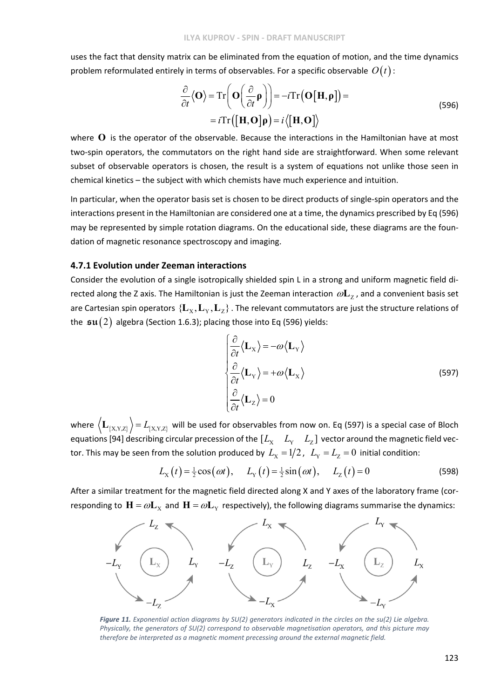uses the fact that density matrix can be eliminated from the equation of motion, and the time dynamics problem reformulated entirely in terms of observables. For a specific observable  $O(t)$ :

$$
\frac{\partial}{\partial t} \langle \mathbf{O} \rangle = \text{Tr} \left( \mathbf{O} \left( \frac{\partial}{\partial t} \mathbf{\rho} \right) \right) = -i \text{Tr} \left( \mathbf{O} \left[ \mathbf{H}, \mathbf{\rho} \right] \right) =
$$
\n
$$
= i \text{Tr} \left( \left[ \mathbf{H}, \mathbf{O} \right] \mathbf{\rho} \right) = i \langle \left[ \mathbf{H}, \mathbf{O} \right] \rangle \tag{596}
$$

where **O** is the operator of the observable. Because the interactions in the Hamiltonian have at most two-spin operators, the commutators on the right hand side are straightforward. When some relevant subset of observable operators is chosen, the result is a system of equations not unlike those seen in chemical kinetics – the subject with which chemists have much experience and intuition.

In particular, when the operator basis set is chosen to be direct products of single‐spin operators and the interactions present in the Hamiltonian are considered one at a time, the dynamics prescribed by Eq (596) may be represented by simple rotation diagrams. On the educational side, these diagrams are the foun‐ dation of magnetic resonance spectroscopy and imaging.

#### **4.7.1 Evolution under Zeeman interactions**

Consider the evolution of a single isotropically shielded spin L in a strong and uniform magnetic field di‐ rected along the Z axis. The Hamiltonian is just the Zeeman interaction  $\omega L_z$ , and a convenient basis set are Cartesian spin operators  $\{L_x, L_y, L_z\}$ . The relevant commutators are just the structure relations of the  $\mathfrak{su}(2)$  algebra (Section 1.6.3); placing those into Eq (596) yields:

$$
\begin{cases}\n\frac{\partial}{\partial t} \langle \mathbf{L}_{x} \rangle = -\omega \langle \mathbf{L}_{y} \rangle \\
\frac{\partial}{\partial t} \langle \mathbf{L}_{y} \rangle = +\omega \langle \mathbf{L}_{x} \rangle \\
\frac{\partial}{\partial t} \langle \mathbf{L}_{z} \rangle = 0\n\end{cases}
$$
\n(597)

where  $\langle L_{\{X,Y,Z\}} \rangle = L_{\{X,Y,Z\}}$  will be used for observables from now on. Eq (597) is a special case of Bloch equations [94] describing circular precession of the  $[L_x \quad L_y \quad L_z]$  vector around the magnetic field vector. This may be seen from the solution produced by  $L_{\rm X} = 1/2$ ,  $L_{\rm Y} = L_{\rm Z} = 0$  initial condition:

$$
L_{\rm X}(t) = \frac{1}{2}\cos(\omega t), \qquad L_{\rm Y}(t) = \frac{1}{2}\sin(\omega t), \qquad L_{\rm Z}(t) = 0 \tag{598}
$$

After a similar treatment for the magnetic field directed along X and Y axes of the laboratory frame (cor‐ responding to  $H = \omega L_x$  and  $H = \omega L_y$  respectively), the following diagrams summarise the dynamics:



Figure 11. Exponential action diagrams by  $SU(2)$  generators indicated in the circles on the su(2) Lie algebra. *Physically, the generators of SU(2) correspond to observable magnetisation operators, and this picture may therefore be interpreted as a magnetic moment precessing around the external magnetic field.*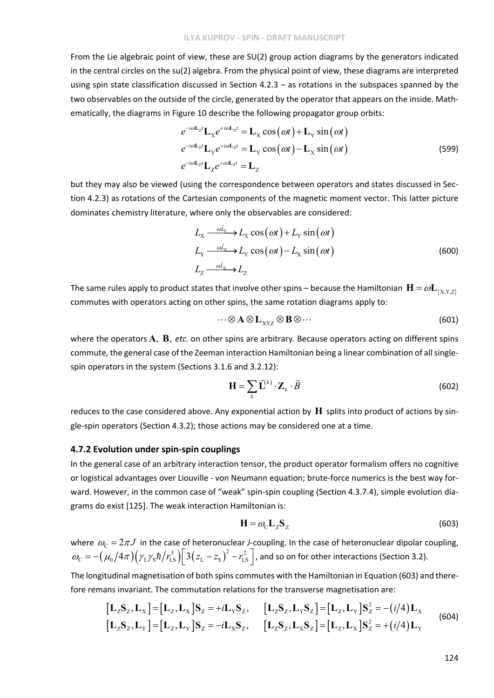From the Lie algebraic point of view, these are SU(2) group action diagrams by the generators indicated in the central circles on the su(2) algebra. From the physical point of view, these diagrams are interpreted using spin state classification discussed in Section 4.2.3 – as rotations in the subspaces spanned by the two observables on the outside of the circle, generated by the operator that appears on the inside. Mathematically, the diagrams in Figure 10 describe the following propagator group orbits:

$$
e^{-i\omega \mathbf{L}_{Z}t} \mathbf{L}_{X} e^{+i\omega \mathbf{L}_{Z}t} = \mathbf{L}_{X} \cos(\omega t) + \mathbf{L}_{Y} \sin(\omega t)
$$
  
\n
$$
e^{-i\omega \mathbf{L}_{Z}t} \mathbf{L}_{Y} e^{+i\omega \mathbf{L}_{Z}t} = \mathbf{L}_{Y} \cos(\omega t) - \mathbf{L}_{X} \sin(\omega t)
$$
  
\n
$$
e^{-i\omega \mathbf{L}_{Z}t} \mathbf{L}_{Z} e^{+i\omega \mathbf{L}_{Z}t} = \mathbf{L}_{Z}
$$
\n(599)

but they may also be viewed (using the correspondence between operators and states discussed in Sec‐ tion 4.2.3) as rotations of the Cartesian components of the magnetic moment vector. This latter picture dominates chemistry literature, where only the observables are considered:

$$
L_{\rm X} \xrightarrow{\partial L_{\rm Z}} L_{\rm X} \cos(\omega t) + L_{\rm Y} \sin(\omega t)
$$
  
\n
$$
L_{\rm Y} \xrightarrow{\partial L_{\rm Z}} L_{\rm Y} \cos(\omega t) - L_{\rm X} \sin(\omega t)
$$
  
\n
$$
L_{\rm Z} \xrightarrow{\partial L_{\rm Z}} L_{\rm Z}
$$
\n(600)

The same rules apply to product states that involve other spins – because the Hamiltonian  $\mathbf{H} = \omega \mathbf{L}_{(X,Y,Z)}$ commutes with operators acting on other spins, the same rotation diagrams apply to:

$$
\cdots \otimes \mathbf{A} \otimes \mathbf{L}_{\mathbf{XYZ}} \otimes \mathbf{B} \otimes \cdots \tag{601}
$$

where the operators  $\bf{A}$ ,  $\bf{B}$ , *etc.* on other spins are arbitrary. Because operators acting on different spins commute, the general case of the Zeeman interaction Hamiltonian being a linear combination of all singlespin operators in the system (Sections 3.1.6 and 3.2.12):

$$
\mathbf{H} = \sum_{k} \vec{\mathbf{L}}^{(k)} \cdot \mathbf{Z}_{k} \cdot \vec{B}
$$
 (602)

reduces to the case considered above. Any exponential action by  $\bf{H}$  splits into product of actions by single‐spin operators (Section 4.3.2); those actions may be considered one at a time.

## **4.7.2 Evolution under spin‐spin couplings**

In the general case of an arbitrary interaction tensor, the product operator formalism offers no cognitive or logistical advantages over Liouville ‐ von Neumann equation; brute‐force numerics is the best way for‐ ward. However, in the common case of "weak" spin-spin coupling (Section 4.3.7.4), simple evolution diagrams do exist [125]. The weak interaction Hamiltonian is:

$$
\mathbf{H} = \omega_{\rm C} \mathbf{L}_{Z} \mathbf{S}_{Z} \tag{603}
$$

where  $\omega_c = 2\pi J$  in the case of heteronuclear *J*-coupling. In the case of heteronuclear dipolar coupling,  $\omega_{\rm C} = -\big(\mu_0/4\pi\big)\big(\gamma_{\rm L}\gamma_{\rm S}\hbar\big/r_{\rm LS}^{\rm s}\big)\bigg[3\big(z_{\rm L}-z_{\rm S}\big)^2-r_{\rm LS}^2\bigg]$  , and so on for other interactions (Section 3.2).

The longitudinal magnetisation of both spins commutes with the Hamiltonian in Equation (603) and there‐ fore remans invariant. The commutation relations for the transverse magnetisation are:

$$
\begin{bmatrix} \mathbf{L}_{z}\mathbf{S}_{z},\mathbf{L}_{x} \end{bmatrix} = \begin{bmatrix} \mathbf{L}_{z},\mathbf{L}_{x} \end{bmatrix} \mathbf{S}_{z} = +i\mathbf{L}_{y}\mathbf{S}_{z}, \qquad \begin{bmatrix} \mathbf{L}_{z}\mathbf{S}_{z},\mathbf{L}_{y}\mathbf{S}_{z} \end{bmatrix} = \begin{bmatrix} \mathbf{L}_{z},\mathbf{L}_{y} \end{bmatrix} \mathbf{S}_{z}^{2} = -(i/4)\mathbf{L}_{x} \qquad (604)
$$
\n
$$
\begin{bmatrix} \mathbf{L}_{z}\mathbf{S}_{z},\mathbf{L}_{y} \end{bmatrix} = \begin{bmatrix} \mathbf{L}_{z},\mathbf{L}_{y} \end{bmatrix} \mathbf{S}_{z} = -i\mathbf{L}_{x}\mathbf{S}_{z}, \qquad \begin{bmatrix} \mathbf{L}_{z}\mathbf{S}_{z},\mathbf{L}_{x}\mathbf{S}_{z} \end{bmatrix} = \begin{bmatrix} \mathbf{L}_{z},\mathbf{L}_{x} \end{bmatrix} \mathbf{S}_{z}^{2} = +(i/4)\mathbf{L}_{y} \qquad (604)
$$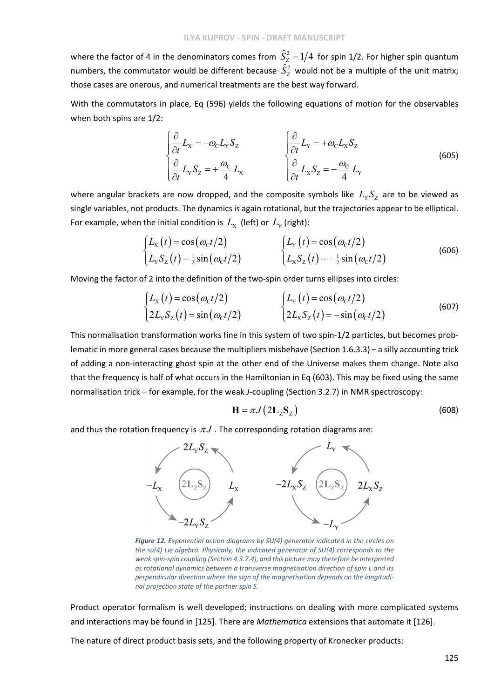where the factor of 4 in the denominators comes from  $\hat{S}_Z^2 = 1/4\,$  for spin 1/2. For higher spin quantum numbers, the commutator would be different because  $\hat{S}_{\mathrm{Z}}^{2}$  would not be a multiple of the unit matrix; those cases are onerous, and numerical treatments are the best way forward.

With the commutators in place, Eq (596) yields the following equations of motion for the observables when both spins are 1/2:

$$
\begin{cases}\n\frac{\partial}{\partial t}L_{\mathbf{x}} = -\omega_{\mathbf{C}}L_{\mathbf{Y}}S_{\mathbf{Z}} & \left\{\frac{\partial}{\partial t}L_{\mathbf{Y}} = +\omega_{\mathbf{C}}L_{\mathbf{X}}S_{\mathbf{Z}}\right\} \\
\frac{\partial}{\partial t}L_{\mathbf{Y}}S_{\mathbf{Z}} = +\frac{\omega_{\mathbf{C}}}{4}L_{\mathbf{X}} & \left\{\frac{\partial}{\partial t}L_{\mathbf{X}}S_{\mathbf{Z}} = -\frac{\omega_{\mathbf{C}}}{4}L_{\mathbf{Y}}\right\}\n\end{cases}
$$
\n(605)

where angular brackets are now dropped, and the composite symbols like  $L_v S_z$  are to be viewed as single variables, not products. The dynamics is again rotational, but the trajectories appear to be elliptical. For example, when the initial condition is  $L_X$  (left) or  $L_Y$  (right):

$$
\begin{cases}\nL_{\rm x}(t) = \cos(\omega_{\rm c}t/2) & \int L_{\rm y}(t) = \cos(\omega_{\rm c}t/2) \\
L_{\rm y}S_{\rm z}(t) = \frac{1}{2}\sin(\omega_{\rm c}t/2) & \int L_{\rm x}S_{\rm z}(t) = -\frac{1}{2}\sin(\omega_{\rm c}t/2)\n\end{cases}
$$
\n(606)

Moving the factor of 2 into the definition of the two‐spin order turns ellipses into circles:

$$
\begin{cases}\nL_{\rm x}(t) = \cos(\omega_{\rm c}t/2) & \int L_{\rm y}(t) = \cos(\omega_{\rm c}t/2) \\
2L_{\rm y}S_{\rm z}(t) = \sin(\omega_{\rm c}t/2) & \int 2L_{\rm x}S_{\rm z}(t) = -\sin(\omega_{\rm c}t/2)\n\end{cases}
$$
\n(607)

This normalisation transformation works fine in this system of two spin‐1/2 particles, but becomes prob‐ lematic in more general cases because the multipliers misbehave (Section 1.6.3.3) – a silly accounting trick of adding a non‐interacting ghost spin at the other end of the Universe makes them change. Note also that the frequency is half of what occurs in the Hamiltonian in Eq (603). This may be fixed using the same normalisation trick – for example, for the weak *J*-coupling (Section 3.2.7) in NMR spectroscopy:

$$
\mathbf{H} = \pi J \left( 2\mathbf{L}_2 \mathbf{S}_2 \right) \tag{608}
$$

and thus the rotation frequency is  $\pi J$ . The corresponding rotation diagrams are:



*Figure 12. Exponential action diagrams by SU(4) generator indicated in the circles on the su(4) Lie algebra. Physically, the indicated generator of SU(4) corresponds to the weak spin‐spin coupling (Section 4.3.7.4), and this picture may therefore be interpreted as rotational dynamics between a transverse magnetisation direction of spin L and its perpendicular direction where the sign of the magnetisation depends on the longitudi‐ nal projection state of the partner spin S.*

Product operator formalism is well developed; instructions on dealing with more complicated systems and interactions may be found in [125]. There are *Mathematica* extensions that automate it [126].

The nature of direct product basis sets, and the following property of Kronecker products: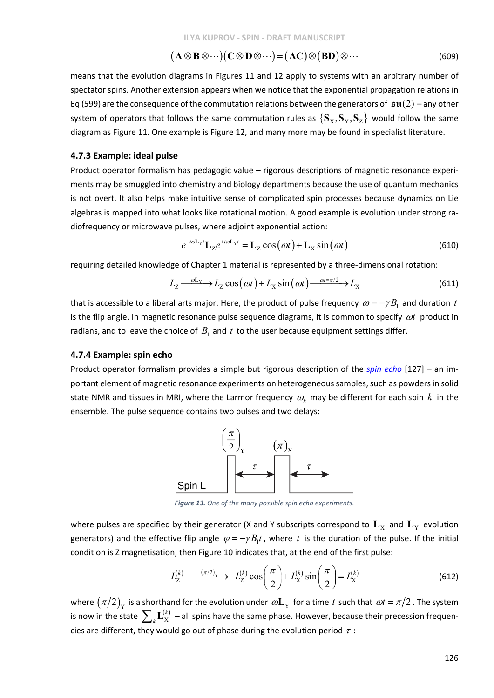$$
(\mathbf{A}\otimes\mathbf{B}\otimes\cdots)(\mathbf{C}\otimes\mathbf{D}\otimes\cdots)=(\mathbf{A}\mathbf{C})\otimes(\mathbf{B}\mathbf{D})\otimes\cdots
$$
 (609)

means that the evolution diagrams in Figures 11 and 12 apply to systems with an arbitrary number of spectator spins. Another extension appears when we notice that the exponential propagation relations in Eq (599) are the consequence of the commutation relations between the generators of  $\mathfrak{su}(2)$  – any other system of operators that follows the same commutation rules as  $\{S_x, S_y, S_z\}$  would follow the same diagram as Figure 11. One example is Figure 12, and many more may be found in specialist literature.

#### **4.7.3 Example: ideal pulse**

Product operator formalism has pedagogic value – rigorous descriptions of magnetic resonance experi‐ ments may be smuggled into chemistry and biology departments because the use of quantum mechanics is not overt. It also helps make intuitive sense of complicated spin processes because dynamics on Lie algebras is mapped into what looks like rotational motion. A good example is evolution under strong radiofrequency or microwave pulses, where adjoint exponential action:

$$
e^{-i\omega \mathbf{L}_{\mathbf{Y}}t} \mathbf{L}_{\mathbf{Z}} e^{+i\omega \mathbf{L}_{\mathbf{Y}}t} = \mathbf{L}_{\mathbf{Z}} \cos(\omega t) + \mathbf{L}_{\mathbf{X}} \sin(\omega t)
$$
(610)

requiring detailed knowledge of Chapter 1 material is represented by a three‐dimensional rotation:

$$
L_{Z} \longrightarrow L_{Z} \cos(\omega t) + L_{X} \sin(\omega t) \longrightarrow L_{X} \tag{611}
$$

that is accessible to a liberal arts major. Here, the product of pulse frequency  $\omega = -\gamma B_1$  and duration *t* is the flip angle. In magnetic resonance pulse sequence diagrams, it is common to specify  $\omega t$  product in radians, and to leave the choice of  $B_1$  and  $t$  to the user because equipment settings differ.

#### **4.7.4 Example: spin echo**

Product operator formalism provides a simple but rigorous description of the *spin echo* [127] – an im‐ portant element of magnetic resonance experiments on heterogeneous samples, such as powders in solid state NMR and tissues in MRI, where the Larmor frequency  $\omega_k$  may be different for each spin  $k$  in the ensemble. The pulse sequence contains two pulses and two delays:



*Figure 13. One of the many possible spin echo experiments.*

where pulses are specified by their generator (X and Y subscripts correspond to  $L_X$  and  $L_Y$  evolution generators) and the effective flip angle  $\varphi = -\gamma B_1 t$ , where t is the duration of the pulse. If the initial condition is Z magnetisation, then Figure 10 indicates that, at the end of the first pulse:

$$
L_Z^{(k)} \quad \xrightarrow{(\pi/2)_Y} \quad L_Z^{(k)} \cos\left(\frac{\pi}{2}\right) + L_X^{(k)} \sin\left(\frac{\pi}{2}\right) = L_X^{(k)} \tag{612}
$$

where  $(\pi/2)_{Y}$  is a shorthand for the evolution under  $\omega L_{Y}$  for a time *t* such that  $\omega t = \pi/2$ . The system is now in the state  $\sum_k \mathbf{L}_{\mathrm{X}}^{(k)}$  $\sum_k \mathbf{L}_{\mathrm{X}}^{(k)}$  – all spins have the same phase. However, because their precession frequencies are different, they would go out of phase during the evolution period  $\tau$ :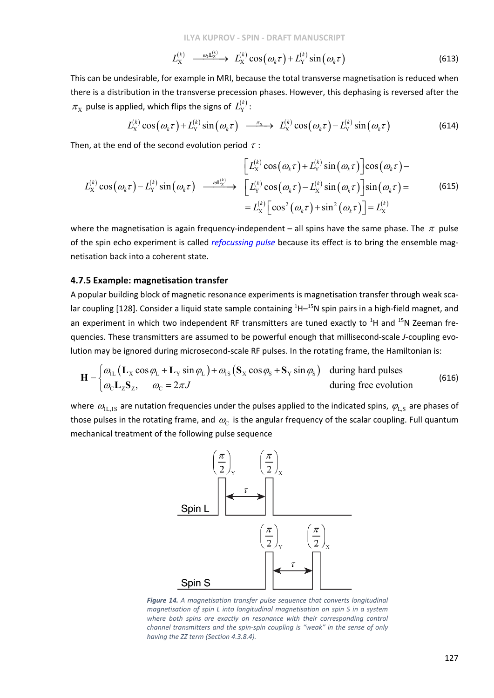**ILYA KUPROV ‐ SPIN ‐ DRAFT MANUSCRIPT**

$$
L_{\rm X}^{(k)} \xrightarrow{\qquad \omega_k \mathbf{L}_{\rm Z}^{(k)}} L_{\rm X}^{(k)} \cos(\omega_k \tau) + L_{\rm Y}^{(k)} \sin(\omega_k \tau) \tag{613}
$$

This can be undesirable, for example in MRI, because the total transverse magnetisation is reduced when there is a distribution in the transverse precession phases. However, this dephasing is reversed after the  $\pi_{\text{\tiny X}}$  pulse is applied, which flips the signs of  $\mathit{L}_{\text{Y}}^{(k)}$  :

$$
L_{\rm X}^{(k)}\cos\left(\omega_k\tau\right)+L_{\rm Y}^{(k)}\sin\left(\omega_k\tau\right)\ \stackrel{\pi_{\rm X}}{\longrightarrow}\ L_{\rm X}^{(k)}\cos\left(\omega_k\tau\right)-L_{\rm Y}^{(k)}\sin\left(\omega_k\tau\right) \tag{614}
$$

Then, at the end of the second evolution period  $\tau$ :

$$
\begin{aligned}\n&\left[L_{\mathbf{x}}^{(k)}\cos\left(\omega_{k}\tau\right)+L_{\mathbf{Y}}^{(k)}\sin\left(\omega_{k}\tau\right)\right]\cos\left(\omega_{k}\tau\right)-\\
&L_{\mathbf{x}}^{(k)}\cos\left(\omega_{k}\tau\right)-L_{\mathbf{Y}}^{(k)}\sin\left(\omega_{k}\tau\right)\n\end{aligned}\n\longrightarrow\n\begin{aligned}\n&\left[L_{\mathbf{x}}^{(k)}\cos\left(\omega_{k}\tau\right)+L_{\mathbf{Y}}^{(k)}\sin\left(\omega_{k}\tau\right)\right]\cos\left(\omega_{k}\tau\right)-\\
&-L_{\mathbf{X}}^{(k)}\left[\cos^{2}\left(\omega_{k}\tau\right)+\sin^{2}\left(\omega_{k}\tau\right)\right]=L_{\mathbf{X}}^{(k)}\n\end{aligned}\n\tag{615}
$$

where the magnetisation is again frequency-independent – all spins have the same phase. The  $\pi$  pulse of the spin echo experiment is called *refocussing pulse* because its effect is to bring the ensemble mag‐ netisation back into a coherent state.

## **4.7.5 Example: magnetisation transfer**

A popular building block of magnetic resonance experiments is magnetisation transfer through weak sca‐ lar coupling [128]. Consider a liquid state sample containing <sup>1</sup>H-<sup>15</sup>N spin pairs in a high-field magnet, and an experiment in which two independent RF transmitters are tuned exactly to <sup>1</sup>H and <sup>15</sup>N Zeeman frequencies. These transmitters are assumed to be powerful enough that millisecond‐scale *J*‐coupling evo‐ lution may be ignored during microsecond-scale RF pulses. In the rotating frame, the Hamiltonian is:

$$
\mathbf{H} = \begin{cases} \omega_{\text{LL}} \left( \mathbf{L}_{\text{X}} \cos \varphi_{\text{L}} + \mathbf{L}_{\text{Y}} \sin \varphi_{\text{L}} \right) + \omega_{\text{IS}} \left( \mathbf{S}_{\text{X}} \cos \varphi_{\text{S}} + \mathbf{S}_{\text{Y}} \sin \varphi_{\text{S}} \right) & \text{during hard pulses} \\ \omega_{\text{C}} \mathbf{L}_{\text{Z}} \mathbf{S}_{\text{Z}}, \qquad \omega_{\text{C}} = 2\pi J & \text{during free evolution} \end{cases}
$$
(616)

where  $\omega_{\rm L,1S}$  are nutation frequencies under the pulses applied to the indicated spins,  $\varphi_{\rm LS}$  are phases of those pulses in the rotating frame, and  $\omega_c$  is the angular frequency of the scalar coupling. Full quantum mechanical treatment of the following pulse sequence



*Figure 14. A magnetisation transfer pulse sequence that converts longitudinal magnetisation of spin L into longitudinal magnetisation on spin S in a system where both spins are exactly on resonance with their corresponding control channel transmitters and the spin‐spin coupling is "weak" in the sense of only having the ZZ term (Section 4.3.8.4).*